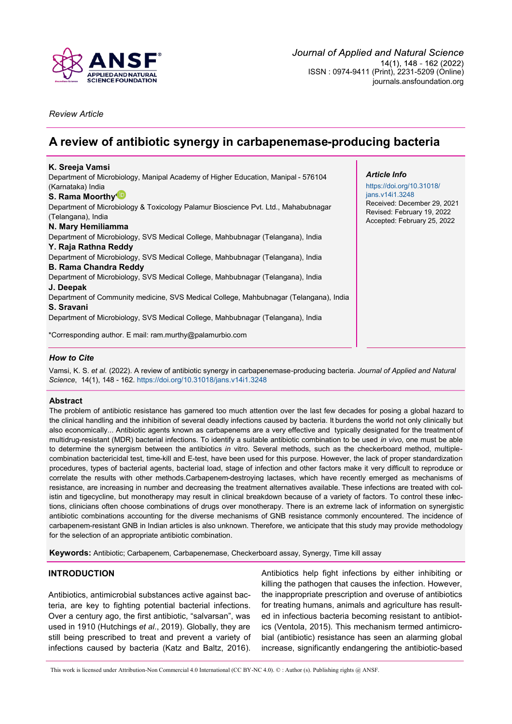

*Review Article*

# **A review of antibiotic synergy in carbapenemase-producing bacteria**

| K. Sreeja Vamsi                                                                                          |                                                           |
|----------------------------------------------------------------------------------------------------------|-----------------------------------------------------------|
| Department of Microbiology, Manipal Academy of Higher Education, Manipal - 576104                        | <b>Article Info</b>                                       |
| (Karnataka) India                                                                                        | https://doi.org/10.31018/                                 |
| S. Rama Moorthy <sup>ID</sup>                                                                            | jans.v14i1.3248                                           |
| Department of Microbiology & Toxicology Palamur Bioscience Pvt. Ltd., Mahabubnagar<br>(Telangana), India | Received: December 29, 2021<br>Revised: February 19, 2022 |
| N. Mary Hemiliamma                                                                                       | Accepted: February 25, 2022                               |
| Department of Microbiology, SVS Medical College, Mahbubnagar (Telangana), India                          |                                                           |
| Y. Raja Rathna Reddy                                                                                     |                                                           |
| Department of Microbiology, SVS Medical College, Mahbubnagar (Telangana), India                          |                                                           |
| <b>B. Rama Chandra Reddy</b>                                                                             |                                                           |
| Department of Microbiology, SVS Medical College, Mahbubnagar (Telangana), India                          |                                                           |
| J. Deepak                                                                                                |                                                           |
| Department of Community medicine, SVS Medical College, Mahbubnagar (Telangana), India                    |                                                           |
| S. Sravani                                                                                               |                                                           |
| Department of Microbiology, SVS Medical College, Mahbubnagar (Telangana), India                          |                                                           |
| *Corresponding author. E mail: ram.murthy@palamurbio.com                                                 |                                                           |
|                                                                                                          |                                                           |

# *How to Cite*

Vamsi, K. S. *et al.* (2022). A review of antibiotic synergy in carbapenemase-producing bacteria. *Journal of Applied and Natural Science*, 14(1), 148 - 162.<https://doi.org/10.31018/jans.v14i1.3248>

## **Abstract**

The problem of antibiotic resistance has garnered too much attention over the last few decades for posing a global hazard to the clinical handling and the inhibition of several deadly infections caused by bacteria. It burdens the world not only clinically but also economically... Antibiotic agents known as carbapenems are a very effective and typically designated for the treatment of multidrug-resistant (MDR) bacterial infections. To identify a suitable antibiotic combination to be used *in vivo*, one must be able to determine the synergism between the antibiotics *in* vitro. Several methods, such as the checkerboard method, multiplecombination bactericidal test, time-kill and E-test, have been used for this purpose. However, the lack of proper standardization procedures, types of bacterial agents, bacterial load, stage of infection and other factors make it very difficult to reproduce or correlate the results with other methods.Carbapenem-destroying lactases, which have recently emerged as mechanisms of resistance, are increasing in number and decreasing the treatment alternatives available. These infections are treated with colistin and tigecycline, but monotherapy may result in clinical breakdown because of a variety of factors. To control these infections, clinicians often choose combinations of drugs over monotherapy. There is an extreme lack of information on synergistic antibiotic combinations accounting for the diverse mechanisms of GNB resistance commonly encountered. The incidence of carbapenem-resistant GNB in Indian articles is also unknown. Therefore, we anticipate that this study may provide methodology for the selection of an appropriate antibiotic combination.

**Keywords:** Antibiotic; Carbapenem, Carbapenemase, Checkerboard assay, Synergy, Time kill assay

## **INTRODUCTION**

Antibiotics, antimicrobial substances active against bacteria, are key to fighting potential bacterial infections. Over a century ago, the first antibiotic, "salvarsan", was used in 1910 (Hutchings *et al*., 2019). Globally, they are still being prescribed to treat and prevent a variety of infections caused by bacteria (Katz and Baltz, 2016).

Antibiotics help fight infections by either inhibiting or killing the pathogen that causes the infection. However, the inappropriate prescription and overuse of antibiotics for treating humans, animals and agriculture has resulted in infectious bacteria becoming resistant to antibiotics (Ventola, 2015). This mechanism termed antimicrobial (antibiotic) resistance has seen an alarming global increase, significantly endangering the antibiotic-based

This work is licensed under Attribution-Non Commercial 4.0 International (CC BY-NC 4.0). © : Author (s). Publishing rights @ ANSF.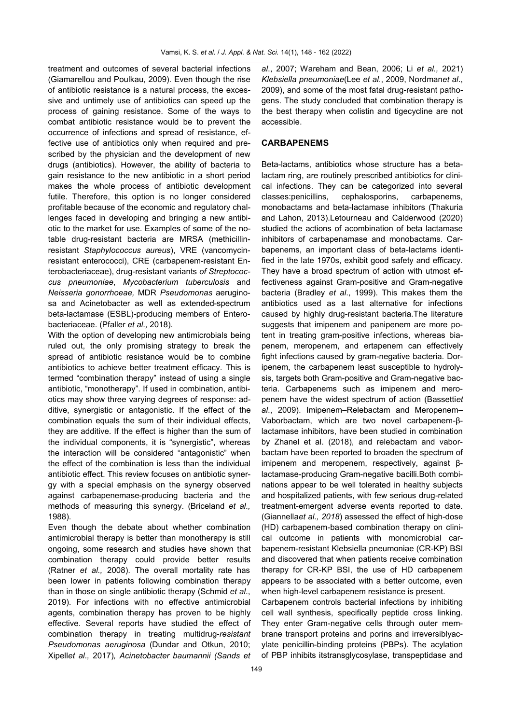treatment and outcomes of several bacterial infections (Giamarellou and Poulkau, 2009). Even though the rise of antibiotic resistance is a natural process, the excessive and untimely use of antibiotics can speed up the process of gaining resistance. Some of the ways to combat antibiotic resistance would be to prevent the occurrence of infections and spread of resistance, effective use of antibiotics only when required and prescribed by the physician and the development of new drugs (antibiotics). However, the ability of bacteria to gain resistance to the new antibiotic in a short period makes the whole process of antibiotic development futile. Therefore, this option is no longer considered profitable because of the economic and regulatory challenges faced in developing and bringing a new antibiotic to the market for use. Examples of some of the notable drug-resistant bacteria are MRSA (methicillinresistant *Staphylococcus aureus*), VRE (vancomycinresistant enterococci), CRE (carbapenem-resistant Enterobacteriaceae), drug-resistant variants *of Streptococcus pneumoniae*, *Mycobacterium tuberculosis* and *Neisseria gonorrhoeae,* MDR *Pseudomonas* aeruginosa and Acinetobacter as well as extended-spectrum beta-lactamase (ESBL)-producing members of Enterobacteriaceae. (Pfaller *et al.,* 2018).

With the option of developing new antimicrobials being ruled out, the only promising strategy to break the spread of antibiotic resistance would be to combine antibiotics to achieve better treatment efficacy. This is termed "combination therapy" instead of using a single antibiotic, "monotherapy". If used in combination, antibiotics may show three varying degrees of response: additive, synergistic or antagonistic. If the effect of the combination equals the sum of their individual effects, they are additive. If the effect is higher than the sum of the individual components, it is "synergistic", whereas the interaction will be considered "antagonistic" when the effect of the combination is less than the individual antibiotic effect. This review focuses on antibiotic synergy with a special emphasis on the synergy observed against carbapenemase-producing bacteria and the methods of measuring this synergy. (Briceland *et al.,*  1988).

Even though the debate about whether combination antimicrobial therapy is better than monotherapy is still ongoing, some research and studies have shown that combination therapy could provide better results (Ratner *et al.,* 2008). The overall mortality rate has been lower in patients following combination therapy than in those on single antibiotic therapy (Schmid *et al*., 2019). For infections with no effective antimicrobial agents, combination therapy has proven to be highly effective. Several reports have studied the effect of combination therapy in treating multidrug-*resistant Pseudomonas aeruginosa* (Dundar and Otkun, 2010; Xipell*et al.,* 2017)*, Acinetobacter baumannii (Sands et*  *al*., 2007; Wareham and Bean, 2006; Li *et al.,* 2021) *Klebsiella pneumoniae*(Lee *et al*., 2009, Nordman*et al*., 2009), and some of the most fatal drug-resistant pathogens. The study concluded that combination therapy is the best therapy when colistin and tigecycline are not accessible.

# **CARBAPENEMS**

Beta-lactams, antibiotics whose structure has a betalactam ring, are routinely prescribed antibiotics for clinical infections. They can be categorized into several classes:penicillins, cephalosporins, carbapenems, monobactams and beta-lactamase inhibitors (Thakuria and Lahon, 2013).Letourneau and Calderwood (2020) studied the actions of acombination of beta lactamase inhibitors of carbapenamase and monobactams. Carbapenems, an important class of beta-lactams identified in the late 1970s, exhibit good safety and efficacy. They have a broad spectrum of action with utmost effectiveness against Gram-positive and Gram-negative bacteria (Bradley *et al*., 1999). This makes them the antibiotics used as a last alternative for infections caused by highly drug-resistant bacteria.The literature suggests that imipenem and panipenem are more potent in treating gram-positive infections, whereas biapenem, meropenem, and ertapenem can effectively fight infections caused by gram-negative bacteria. Doripenem, the carbapenem least susceptible to hydrolysis, targets both Gram-positive and Gram-negative bacteria. Carbapenems such as imipenem and meropenem have the widest spectrum of action (Bassetti*et al*., 2009). Imipenem–Relebactam and Meropenem– Vaborbactam, which are two novel carbapenem-βlactamase inhibitors, have been studied in combination by Zhanel et al. (2018), and relebactam and vaborbactam have been reported to broaden the spectrum of imipenem and meropenem, respectively, against βlactamase-producing Gram-negative bacilli.Both combinations appear to be well tolerated in healthy subjects and hospitalized patients, with few serious drug-related treatment-emergent adverse events reported to date. (Giannella*et al., 2018*) assessed the effect of high-dose (HD) carbapenem-based combination therapy on clinical outcome in patients with monomicrobial carbapenem-resistant Klebsiella pneumoniae (CR-KP) BSI and discovered that when patients receive combination therapy for CR-KP BSI, the use of HD carbapenem appears to be associated with a better outcome, even when high-level carbapenem resistance is present.

Carbapenem controls bacterial infections by inhibiting cell wall synthesis, specifically peptide cross linking. They enter Gram-negative cells through outer membrane transport proteins and porins and irreversiblyacylate penicillin-binding proteins (PBPs). The acylation of PBP inhibits itstransglycosylase, transpeptidase and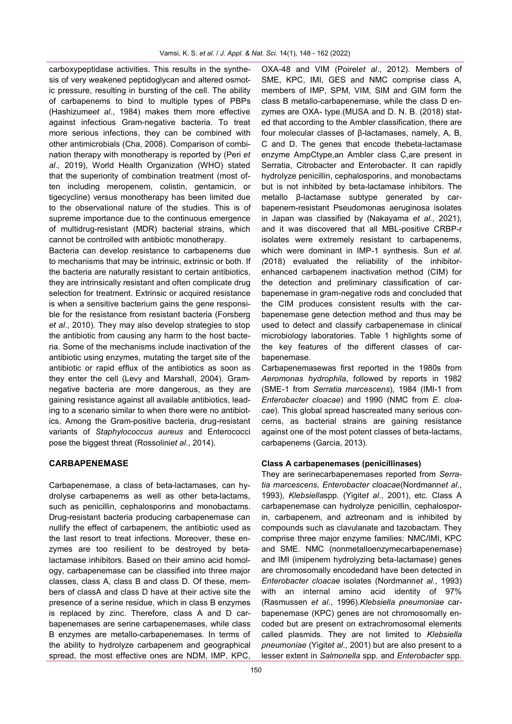carboxypeptidase activities. This results in the synthesis of very weakened peptidoglycan and altered osmotic pressure, resulting in bursting of the cell. The ability of carbapenems to bind to multiple types of PBPs (Hashizume*et al*., 1984) makes them more effective against infectious Gram-negative bacteria. To treat more serious infections, they can be combined with other antimicrobials (Cha, 2008). Comparison of combination therapy with monotherapy is reported by (Peri *et al.,* 2019), World Health Organization (WHO) stated that the superiority of combination treatment (most often including meropenem, colistin, gentamicin, or tigecycline) versus monotherapy has been limited due to the observational nature of the studies. This is of supreme importance due to the continuous emergence of multidrug-resistant (MDR) bacterial strains, which cannot be controlled with antibiotic monotherapy.

Bacteria can develop resistance to carbapenems due to mechanisms that may be intrinsic, extrinsic or both. If the bacteria are naturally resistant to certain antibiotics, they are intrinsically resistant and often complicate drug selection for treatment. Extrinsic or acquired resistance is when a sensitive bacterium gains the gene responsible for the resistance from resistant bacteria (Forsberg *et al*., 2010). They may also develop strategies to stop the antibiotic from causing any harm to the host bacteria. Some of the mechanisms include inactivation of the antibiotic using enzymes, mutating the target site of the antibiotic or rapid efflux of the antibiotics as soon as they enter the cell (Levy and Marshall, 2004). Gramnegative bacteria are more dangerous, as they are gaining resistance against all available antibiotics, leading to a scenario similar to when there were no antibiotics. Among the Gram-positive bacteria, drug-resistant variants of *Staphylococcus aureus* and Enterococci pose the biggest threat (Rossolini*et al*., 2014).

# **CARBAPENEMASE**

Carbapenemase, a class of beta-lactamases, can hydrolyse carbapenems as well as other beta-lactams, such as penicillin, cephalosporins and monobactams. Drug-resistant bacteria producing carbapenemase can nullify the effect of carbapenem, the antibiotic used as the last resort to treat infections. Moreover, these enzymes are too resilient to be destroyed by betalactamase inhibitors. Based on their amino acid homology, carbapenemase can be classified into three major classes, class A, class B and class D. Of these, members of classA and class D have at their active site the presence of a serine residue, which in class B enzymes is replaced by zinc. Therefore, class A and D carbapenemases are serine carbapenemases, while class B enzymes are metallo-carbapenemases. In terms of the ability to hydrolyze carbapenem and geographical spread, the most effective ones are NDM, IMP, KPC,

OXA-48 and VIM (Poirel*et al*., 2012). Members of SME, KPC, IMI, GES and NMC comprise class A, members of IMP, SPM, VIM, SIM and GIM form the class B metallo-carbapenemase, while the class D enzymes are OXA- type.(MUSA and D. N. B. (2018) stated that according to the Ambler classification, there are four molecular classes of β-lactamases, namely, A, B, C and D. The genes that encode thebeta-lactamase enzyme AmpCtype,an Ambler class C,are present in Serratia, Citrobacter and Enterobacter. It can rapidly hydrolyze penicillin, cephalosporins, and monobactams but is not inhibited by beta-lactamase inhibitors. The metallo β-lactamase subtype generated by carbapenem-resistant Pseudomonas aeruginosa isolates in Japan was classified by (Nakayama *et al.,* 2021), and it was discovered that all MBL-positive CRBP-r isolates were extremely resistant to carbapenems, which were dominant in IMP-1 synthesis. Sun *et al. (*2018) evaluated the reliability of the inhibitorenhanced carbapenem inactivation method (CIM) for the detection and preliminary classification of carbapenemase in gram-negative rods and concluded that the CIM produces consistent results with the carbapenemase gene detection method and thus may be used to detect and classify carbapenemase in clinical microbiology laboratories. Table 1 highlights some of the key features of the different classes of carbapenemase.

Carbapenemasewas first reported in the 1980s from *Aeromonas hydrophila*, followed by reports in 1982 (SME-1 from *Serratia marcescens*), 1984 (IMI-1 from *Enterobacter cloacae*) and 1990 (NMC from *E. cloacae*). This global spread hascreated many serious concerns, as bacterial strains are gaining resistance against one of the most potent classes of beta-lactams, carbapenems (Garcia, 2013).

## **Class A carbapenemases (penicillinases)**

They are serinecarbapenemases reported from *Serratia marcescens, Enterobacter cloacae*(Nordmann*et al*., 1993)*, Klebsiella*spp*.* (Yigit*et al*., 2001), etc. Class A carbapenemase can hydrolyze penicillin, cephalosporin, carbapenem, and aztreonam and is inhibited by compounds such as clavulanate and tazobactam. They comprise three major enzyme families: NMC/IMI, KPC and SME. NMC (nonmetalloenzymecarbapenemase) and IMI (imipenem hydrolyzing beta-lactamase) genes are chromosomally encodedand have been detected in *Enterobacter cloacae* isolates (Nordmann*et al*., 1993) with an internal amino acid identity of 97% (Rasmussen *et al*., 1996).*Klebsiella pneumoniae* carbapenemase (KPC) genes are not chromosomally encoded but are present on extrachromosomal elements called plasmids. They are not limited to *Klebsiella pneumoniae* (Yigit*et al*., 2001) but are also present to a lesser extent in *Salmonella* spp*.* and *Enterobacter* spp*.*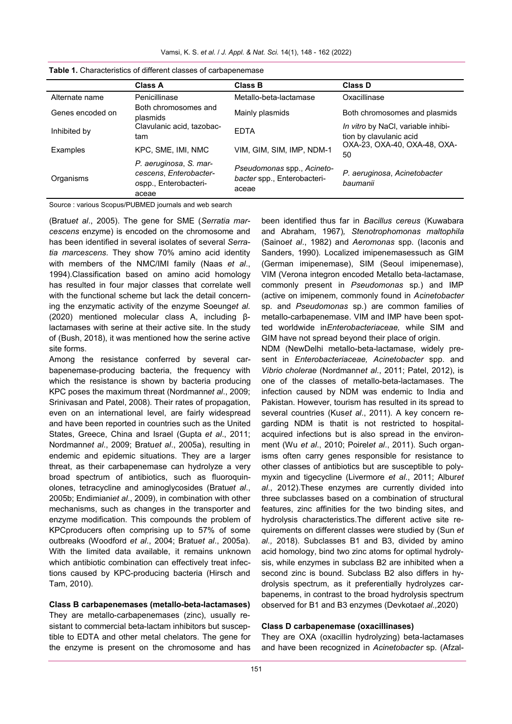Vamsi, K. S. *et al.* / *J. Appl. & Nat. Sci.* 14(1), 148 - 162 (2022)

|                  | <b>Class A</b>                                                                     | <b>Class B</b>                                                     | <b>Class D</b>                                                |  |
|------------------|------------------------------------------------------------------------------------|--------------------------------------------------------------------|---------------------------------------------------------------|--|
| Alternate name   | Penicillinase                                                                      | Metallo-beta-lactamase                                             | Oxacillinase                                                  |  |
| Genes encoded on | Both chromosomes and<br>plasmids                                                   | Mainly plasmids                                                    | Both chromosomes and plasmids                                 |  |
| Inhibited by     | Clavulanic acid, tazobac-<br>tam                                                   | <b>FDTA</b>                                                        | In vitro by NaCl, variable inhibi-<br>tion by clavulanic acid |  |
| Examples         | KPC, SME, IMI, NMC                                                                 | VIM, GIM, SIM, IMP, NDM-1                                          | OXA-23, OXA-40, OXA-48, OXA-<br>50                            |  |
| Organisms        | P. aeruginosa, S. mar-<br>cescens, Enterobacter-<br>ospp., Enterobacteri-<br>aceae | Pseudomonas spp., Acineto-<br>bacter spp., Enterobacteri-<br>aceae | P. aeruginosa, Acinetobacter<br>baumanii                      |  |

Source : various Scopus/PUBMED journals and web search

(Bratu*et al*., 2005). The gene for SME (*Serratia marcescens* enzyme) is encoded on the chromosome and has been identified in several isolates of several *Serratia marcescens.* They show 70% amino acid identity with members of the NMC/IMI family (Naas *et al*., 1994).Classification based on amino acid homology has resulted in four major classes that correlate well with the functional scheme but lack the detail concerning the enzymatic activity of the enzyme Soeung*et al.*  (2020) mentioned molecular class A, including βlactamases with serine at their active site. In the study of (Bush, 2018), it was mentioned how the serine active site forms.

Among the resistance conferred by several carbapenemase-producing bacteria, the frequency with which the resistance is shown by bacteria producing KPC poses the maximum threat (Nordmann*et al*., 2009; Srinivasan and Patel, 2008). Their rates of propagation, even on an international level, are fairly widespread and have been reported in countries such as the United States, Greece, China and Israel (Gupta *et al*., 2011; Nordmann*et al*., 2009; Bratu*et al*., 2005a), resulting in endemic and epidemic situations. They are a larger threat, as their carbapenemase can hydrolyze a very broad spectrum of antibiotics, such as fluoroquinolones, tetracycline and aminoglycosides (Bratu*et al*., 2005b; Endimiani*et al*., 2009), in combination with other mechanisms, such as changes in the transporter and enzyme modification. This compounds the problem of KPCproducers often comprising up to 57% of some outbreaks (Woodford *et al*., 2004; Bratu*et al*., 2005a). With the limited data available, it remains unknown which antibiotic combination can effectively treat infections caused by KPC-producing bacteria (Hirsch and Tam, 2010).

## **Class B carbapenemases (metallo-beta-lactamases)**

They are metallo-carbapenemases (zinc), usually resistant to commercial beta-lactam inhibitors but susceptible to EDTA and other metal chelators. The gene for the enzyme is present on the chromosome and has been identified thus far in *Bacillus cereus* (Kuwabara and Abraham, 1967)*, Stenotrophomonas maltophila* (Saino*et al*., 1982) and *Aeromonas* spp*.* (Iaconis and Sanders, 1990)*.* Localized imipenemasessuch as GIM (German imipenemase), SIM (Seoul imipenemase), VIM (Verona integron encoded Metallo beta-lactamase, commonly present in *Pseudomonas* sp*.*) and IMP (active on imipenem, commonly found in *Acinetobacter*  sp*.* and *Pseudomonas* sp.) are common families of metallo-carbapenemase. VIM and IMP have been spotted worldwide in*Enterobacteriaceae,* while SIM and GIM have not spread beyond their place of origin.

NDM (NewDelhi metallo-beta-lactamase, widely present in *Enterobacteriaceae, Acinetobacter* spp. and *Vibrio cholerae* (Nordmann*et al*., 2011; Patel, 2012), is one of the classes of metallo-beta-lactamases. The infection caused by NDM was endemic to India and Pakistan. However, tourism has resulted in its spread to several countries (Kus*et al*., 2011). A key concern regarding NDM is thatit is not restricted to hospitalacquired infections but is also spread in the environment (Wu *et al*., 2010; Poirel*et al*., 2011). Such organisms often carry genes responsible for resistance to other classes of antibiotics but are susceptible to polymyxin and tigecycline (Livermore *et al*., 2011; Albur*et al*., 2012).These enzymes are currently divided into three subclasses based on a combination of structural features, zinc affinities for the two binding sites, and hydrolysis characteristics.The different active site requirements on different classes were studied by (Sun *et al.,* 2018). Subclasses B1 and B3, divided by amino acid homology, bind two zinc atoms for optimal hydrolysis, while enzymes in subclass B2 are inhibited when a second zinc is bound. Subclass B2 also differs in hydrolysis spectrum, as it preferentially hydrolyzes carbapenems, in contrast to the broad hydrolysis spectrum observed for B1 and B3 enzymes (Devkota*et al.,*2020)

# **Class D carbapenemase (oxacillinases)**

They are OXA (oxacillin hydrolyzing) beta-lactamases and have been recognized in *Acinetobacter* sp*.* (Afzal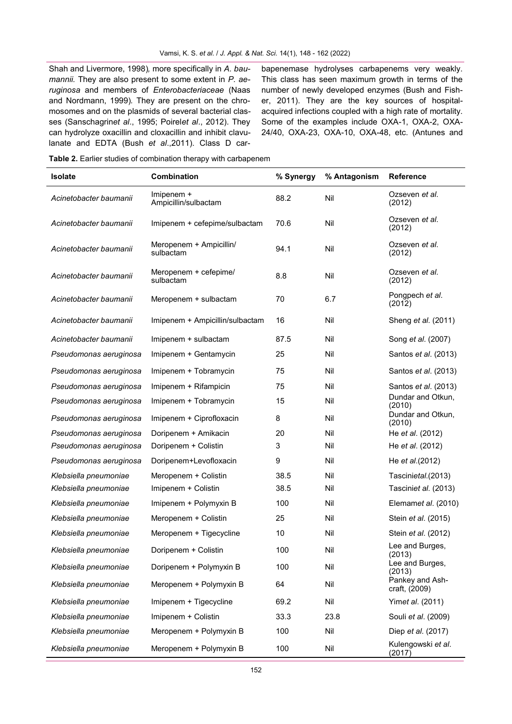Shah and Livermore, 1998)*,* more specifically in *A. baumannii.* They are also present to some extent in *P. aeruginosa* and members of *Enterobacteriaceae* (Naas and Nordmann, 1999)*.* They are present on the chromosomes and on the plasmids of several bacterial classes (Sanschagrin*et al*., 1995; Poirel*et al*., 2012). They can hydrolyze oxacillin and cloxacillin and inhibit clavulanate and EDTA (Bush *et al*.,2011). Class D carbapenemase hydrolyses carbapenems very weakly. This class has seen maximum growth in terms of the number of newly developed enzymes (Bush and Fisher, 2011). They are the key sources of hospitalacquired infections coupled with a high rate of mortality. Some of the examples include OXA-1, OXA-2, OXA-24/40, OXA-23, OXA-10, OXA-48, etc. (Antunes and

**Table 2.** Earlier studies of combination therapy with carbapenem

| <b>Isolate</b>         | Combination                          | % Synergy | % Antagonism | <b>Reference</b>                 |
|------------------------|--------------------------------------|-----------|--------------|----------------------------------|
| Acinetobacter baumanii | Imipenem +<br>Ampicillin/sulbactam   | 88.2      | Nil          | Ozseven et al.<br>(2012)         |
| Acinetobacter baumanii | Imipenem + cefepime/sulbactam        | 70.6      | Nil          | Ozseven et al.<br>(2012)         |
| Acinetobacter baumanii | Meropenem + Ampicillin/<br>sulbactam | 94.1      | Nil          | Ozseven et al.<br>(2012)         |
| Acinetobacter baumanii | Meropenem + cefepime/<br>sulbactam   | 8.8       | Nil          | Ozseven et al.<br>(2012)         |
| Acinetobacter baumanii | Meropenem + sulbactam                | 70        | 6.7          | Pongpech et al.<br>(2012)        |
| Acinetobacter baumanii | Imipenem + Ampicillin/sulbactam      | 16        | Nil          | Sheng et al. (2011)              |
| Acinetobacter baumanii | Imipenem + sulbactam                 | 87.5      | Nil          | Song et al. (2007)               |
| Pseudomonas aeruginosa | Imipenem + Gentamycin                | 25        | Nil          | Santos et al. (2013)             |
| Pseudomonas aeruginosa | Imipenem + Tobramycin                | 75        | Nil          | Santos et al. (2013)             |
| Pseudomonas aeruginosa | Imipenem + Rifampicin                | 75        | Nil          | Santos et al. (2013)             |
| Pseudomonas aeruginosa | Imipenem + Tobramycin                | 15        | Nil          | Dundar and Otkun,<br>(2010)      |
| Pseudomonas aeruginosa | Imipenem + Ciprofloxacin             | 8         | Nil          | Dundar and Otkun,<br>(2010)      |
| Pseudomonas aeruginosa | Doripenem + Amikacin                 | 20        | Nil          | He <i>et al.</i> (2012)          |
| Pseudomonas aeruginosa | Doripenem + Colistin                 | 3         | Nil          | He et al. (2012)                 |
| Pseudomonas aeruginosa | Doripenem+Levofloxacin               | 9         | Nil          | He et al.(2012)                  |
| Klebsiella pneumoniae  | Meropenem + Colistin                 | 38.5      | Nil          | Tascinietal.(2013)               |
| Klebsiella pneumoniae  | Imipenem + Colistin                  | 38.5      | Nil          | Tasciniet al. (2013)             |
| Klebsiella pneumoniae  | Imipenem + Polymyxin B               | 100       | Nil          | Elemamet al. (2010)              |
| Klebsiella pneumoniae  | Meropenem + Colistin                 | 25        | Nil          | Stein et al. (2015)              |
| Klebsiella pneumoniae  | Meropenem + Tigecycline              | 10        | Nil          | Stein et al. (2012)              |
| Klebsiella pneumoniae  | Doripenem + Colistin                 | 100       | Nil          | Lee and Burges,<br>(2013)        |
| Klebsiella pneumoniae  | Doripenem + Polymyxin B              | 100       | Nil          | Lee and Burges,<br>(2013)        |
| Klebsiella pneumoniae  | Meropenem + Polymyxin B              | 64        | Nil          | Pankey and Ash-<br>craft, (2009) |
| Klebsiella pneumoniae  | Imipenem + Tigecycline               | 69.2      | Nil          | Yimet al. (2011)                 |
| Klebsiella pneumoniae  | Imipenem + Colistin                  | 33.3      | 23.8         | Souli et al. (2009)              |
| Klebsiella pneumoniae  | Meropenem + Polymyxin B              | 100       | Nil          | Diep et al. (2017)               |
| Klebsiella pneumoniae  | Meropenem + Polymyxin B              | 100       | Nil          | Kulengowski et al.<br>(2017)     |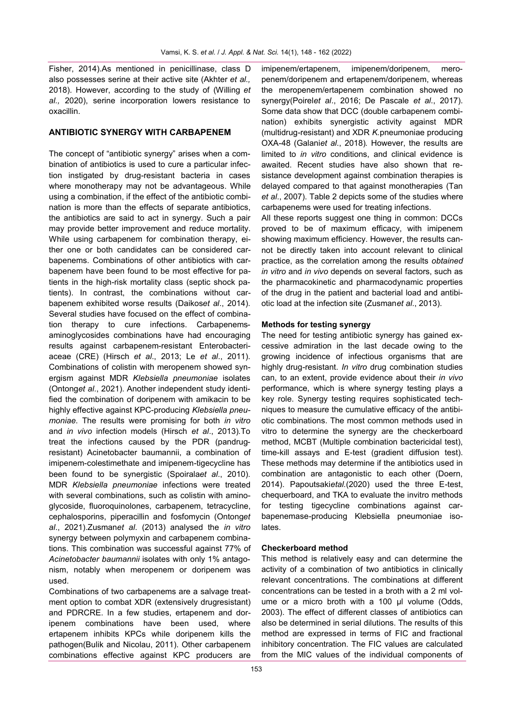Fisher, 2014).As mentioned in penicillinase, class D also possesses serine at their active site (Akhter *et al.,* 2018). However, according to the study of (Willing *et al.,* 2020), serine incorporation lowers resistance to oxacillin.

# **ANTIBIOTIC SYNERGY WITH CARBAPENEM**

The concept of "antibiotic synergy" arises when a combination of antibiotics is used to cure a particular infection instigated by drug-resistant bacteria in cases where monotherapy may not be advantageous. While using a combination, if the effect of the antibiotic combination is more than the effects of separate antibiotics, the antibiotics are said to act in synergy. Such a pair may provide better improvement and reduce mortality. While using carbapenem for combination therapy, either one or both candidates can be considered carbapenems. Combinations of other antibiotics with carbapenem have been found to be most effective for patients in the high-risk mortality class (septic shock patients). In contrast, the combinations without carbapenem exhibited worse results (Daikos*et al*., 2014). Several studies have focused on the effect of combination therapy to cure infections. Carbapenemsaminoglycosides combinations have had encouraging results against carbapenem-resistant Enterobacteriaceae (CRE) (Hirsch *et al*., 2013; Le *et al*., 2011). Combinations of colistin with meropenem showed synergism against MDR *Klebsiella pneumoniae* isolates (Ontong*et al*., 2021). Another independent study identified the combination of doripenem with amikacin to be highly effective against KPC-producing *Klebsiella pneumoniae*. The results were promising for both *in vitro*  and *in vivo* infection models (Hirsch *et al*., 2013)*.*To treat the infections caused by the PDR (pandrugresistant) Acinetobacter baumannii, a combination of imipenem-colestimethate and imipenem-tigecycline has been found to be synergistic (Spoirala*et al*., 2010). MDR *Klebsiella pneumoniae* infections were treated with several combinations, such as colistin with aminoglycoside, fluoroquinolones, carbapenem, tetracycline, cephalosporins, piperacillin and fosfomycin (Ontong*et al*., 2021).Zusman*et al*. (2013) analysed the *in vitro* synergy between polymyxin and carbapenem combinations. This combination was successful against 77% of *Acinetobacter baumannii* isolates with only 1% antagonism, notably when meropenem or doripenem was used.

Combinations of two carbapenems are a salvage treatment option to combat XDR (extensively drugresistant) and PDRCRE. In a few studies, ertapenem and doripenem combinations have been used, where ertapenem inhibits KPCs while doripenem kills the pathogen(Bulik and Nicolau, 2011). Other carbapenem combinations effective against KPC producers are

imipenem/ertapenem, imipenem/doripenem, meropenem/doripenem and ertapenem/doripenem, whereas the meropenem/ertapenem combination showed no synergy(Poirel*et al*., 2016; De Pascale *et al*., 2017). Some data show that DCC (double carbapenem combination) exhibits synergistic activity against MDR (multidrug-resistant) and XDR *K.*pneumoniae producing OXA-48 (Galani*et al*., 2018)*.* However, the results are limited to *in vitro* conditions, and clinical evidence is awaited. Recent studies have also shown that resistance development against combination therapies is delayed compared to that against monotherapies (Tan *et al*., 2007). Table 2 depicts some of the studies where carbapenems were used for treating infections.

All these reports suggest one thing in common: DCCs proved to be of maximum efficacy, with imipenem showing maximum efficiency. However, the results cannot be directly taken into account relevant to clinical practice, as the correlation among the results *obtained in vitro* and *in vivo* depends on several factors, such as the pharmacokinetic and pharmacodynamic properties of the drug in the patient and bacterial load and antibiotic load at the infection site (Zusman*et al*., 2013).

#### **Methods for testing synergy**

The need for testing antibiotic synergy has gained excessive admiration in the last decade owing to the growing incidence of infectious organisms that are highly drug-resistant. *In vitro* drug combination studies can, to an extent, provide evidence about their *in vivo*  performance, which is where synergy testing plays a key role. Synergy testing requires sophisticated techniques to measure the cumulative efficacy of the antibiotic combinations. The most common methods used in vitro to determine the synergy are the checkerboard method, MCBT (Multiple combination bactericidal test), time-kill assays and E-test (gradient diffusion test). These methods may determine if the antibiotics used in combination are antagonistic to each other (Doern, 2014). Papoutsaki*etal.*(2020) used the three E-test, chequerboard, and TKA to evaluate the invitro methods for testing tigecycline combinations against carbapenemase-producing Klebsiella pneumoniae isolates.

#### **Checkerboard method**

This method is relatively easy and can determine the activity of a combination of two antibiotics in clinically relevant concentrations. The combinations at different concentrations can be tested in a broth with a 2 ml volume or a micro broth with a 100 μl volume (Odds, 2003). The effect of different classes of antibiotics can also be determined in serial dilutions. The results of this method are expressed in terms of FIC and fractional inhibitory concentration. The FIC values are calculated from the MIC values of the individual components of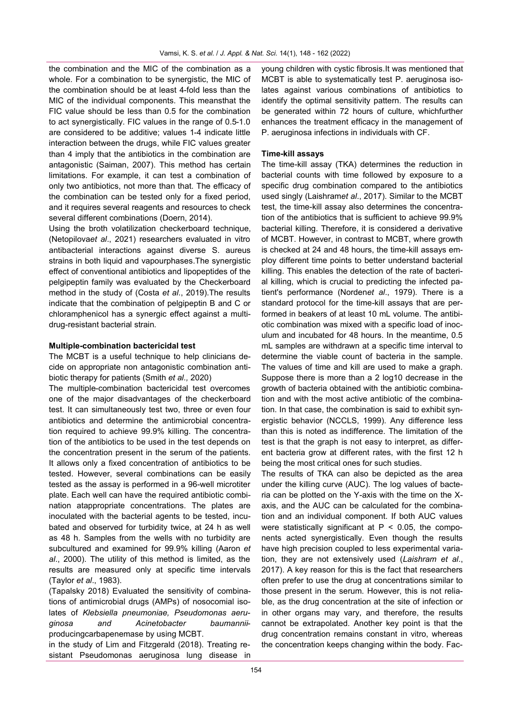the combination and the MIC of the combination as a whole. For a combination to be synergistic, the MIC of the combination should be at least 4-fold less than the MIC of the individual components. This meansthat the FIC value should be less than 0.5 for the combination to act synergistically. FIC values in the range of 0.5-1.0 are considered to be additive; values 1-4 indicate little interaction between the drugs, while FIC values greater than 4 imply that the antibiotics in the combination are antagonistic (Saiman, 2007). This method has certain limitations. For example, it can test a combination of only two antibiotics, not more than that. The efficacy of the combination can be tested only for a fixed period, and it requires several reagents and resources to check several different combinations (Doern, 2014).

Using the broth volatilization checkerboard technique, (Netopilova*et al*., 2021) researchers evaluated in vitro antibacterial interactions against diverse S. aureus strains in both liquid and vapourphases.The synergistic effect of conventional antibiotics and lipopeptides of the pelgipeptin family was evaluated by the Checkerboard method in the study of (Costa *et al*., 2019).The results indicate that the combination of pelgipeptin B and C or chloramphenicol has a synergic effect against a multidrug-resistant bacterial strain.

#### **Multiple-combination bactericidal test**

The MCBT is a useful technique to help clinicians decide on appropriate non antagonistic combination antibiotic therapy for patients (Smith *et al.,* 2020)

The multiple-combination bactericidal test overcomes one of the major disadvantages of the checkerboard test. It can simultaneously test two, three or even four antibiotics and determine the antimicrobial concentration required to achieve 99.9% killing. The concentration of the antibiotics to be used in the test depends on the concentration present in the serum of the patients. It allows only a fixed concentration of antibiotics to be tested. However, several combinations can be easily tested as the assay is performed in a 96-well microtiter plate. Each well can have the required antibiotic combination atappropriate concentrations. The plates are inoculated with the bacterial agents to be tested, incubated and observed for turbidity twice, at 24 h as well as 48 h. Samples from the wells with no turbidity are subcultured and examined for 99.9% killing (Aaron *et al*., 2000). The utility of this method is limited, as the results are measured only at specific time intervals (Taylor *et al*., 1983).

(Tapalsky 2018) Evaluated the sensitivity of combinations of antimicrobial drugs (AMPs) of nosocomial isolates of *Klebsiella pneumoniae, Pseudomonas aeruginosa and Acinetobacter baumannii*producingcarbapenemase by using MCBT.

in the study of Lim and Fitzgerald (2018). Treating resistant Pseudomonas aeruginosa lung disease in young children with cystic fibrosis.It was mentioned that MCBT is able to systematically test P. aeruginosa isolates against various combinations of antibiotics to identify the optimal sensitivity pattern. The results can be generated within 72 hours of culture, whichfurther enhances the treatment efficacy in the management of P. aeruginosa infections in individuals with CF.

### **Time-kill assays**

The time-kill assay (TKA) determines the reduction in bacterial counts with time followed by exposure to a specific drug combination compared to the antibiotics used singly (Laishram*et al*., 2017). Similar to the MCBT test, the time-kill assay also determines the concentration of the antibiotics that is sufficient to achieve 99.9% bacterial killing. Therefore, it is considered a derivative of MCBT. However, in contrast to MCBT, where growth is checked at 24 and 48 hours, the time-kill assays employ different time points to better understand bacterial killing. This enables the detection of the rate of bacterial killing, which is crucial to predicting the infected patient's performance (Norden*et al*., 1979). There is a standard protocol for the time-kill assays that are performed in beakers of at least 10 mL volume. The antibiotic combination was mixed with a specific load of inoculum and incubated for 48 hours. In the meantime, 0.5 mL samples are withdrawn at a specific time interval to determine the viable count of bacteria in the sample. The values of time and kill are used to make a graph. Suppose there is more than a 2 log10 decrease in the growth of bacteria obtained with the antibiotic combination and with the most active antibiotic of the combination. In that case, the combination is said to exhibit synergistic behavior (NCCLS, 1999). Any difference less than this is noted as indifference. The limitation of the test is that the graph is not easy to interpret, as different bacteria grow at different rates, with the first 12 h being the most critical ones for such studies.

The results of TKA can also be depicted as the area under the killing curve (AUC). The log values of bacteria can be plotted on the Y-axis with the time on the Xaxis, and the AUC can be calculated for the combination and an individual component. If both AUC values were statistically significant at  $P < 0.05$ , the components acted synergistically. Even though the results have high precision coupled to less experimental variation, they are not extensively used (*Laishram et al*., 2017). A key reason for this is the fact that researchers often prefer to use the drug at concentrations similar to those present in the serum. However, this is not reliable, as the drug concentration at the site of infection or in other organs may vary, and therefore, the results cannot be extrapolated. Another key point is that the drug concentration remains constant in vitro, whereas the concentration keeps changing within the body. Fac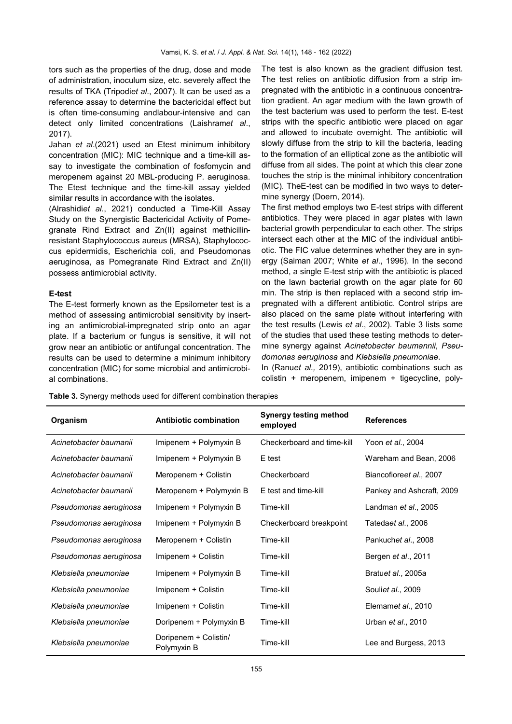tors such as the properties of the drug, dose and mode of administration, inoculum size, etc. severely affect the results of TKA (Tripodi*et al*., 2007). It can be used as a reference assay to determine the bactericidal effect but is often time-consuming andlabour-intensive and can detect only limited concentrations (Laishram*et al*., 2017).

Jahan *et al*.(2021) used an Etest minimum inhibitory concentration (MIC): MIC technique and a time-kill assay to investigate the combination of fosfomycin and meropenem against 20 MBL-producing P. aeruginosa. The Etest technique and the time-kill assay yielded similar results in accordance with the isolates.

(Alrashidi*et al*., 2021) conducted a Time-Kill Assay Study on the Synergistic Bactericidal Activity of Pomegranate Rind Extract and Zn(II) against methicillinresistant Staphylococcus aureus (MRSA), Staphylococcus epidermidis, Escherichia coli, and Pseudomonas aeruginosa, as Pomegranate Rind Extract and Zn(II) possess antimicrobial activity.

## **E-test**

The E-test formerly known as the Epsilometer test is a method of assessing antimicrobial sensitivity by inserting an antimicrobial-impregnated strip onto an agar plate. If a bacterium or fungus is sensitive, it will not grow near an antibiotic or antifungal concentration. The results can be used to determine a minimum inhibitory concentration (MIC) for some microbial and antimicrobial combinations.

The test is also known as the gradient diffusion test. The test relies on antibiotic diffusion from a strip impregnated with the antibiotic in a continuous concentration gradient. An agar medium with the lawn growth of the test bacterium was used to perform the test. E-test strips with the specific antibiotic were placed on agar and allowed to incubate overnight. The antibiotic will slowly diffuse from the strip to kill the bacteria, leading to the formation of an elliptical zone as the antibiotic will diffuse from all sides. The point at which this clear zone touches the strip is the minimal inhibitory concentration (MIC). TheE-test can be modified in two ways to determine synergy (Doern, 2014).

The first method employs two E-test strips with different antibiotics. They were placed in agar plates with lawn bacterial growth perpendicular to each other. The strips intersect each other at the MIC of the individual antibiotic. The FIC value determines whether they are in synergy (Saiman 2007; White *et al*., 1996). In the second method, a single E-test strip with the antibiotic is placed on the lawn bacterial growth on the agar plate for 60 min. The strip is then replaced with a second strip impregnated with a different antibiotic. Control strips are also placed on the same plate without interfering with the test results (Lewis *et al*., 2002). Table 3 lists some of the studies that used these testing methods to determine synergy against *Acinetobacter baumannii, Pseudomonas aeruginosa* and *Klebsiella pneumoniae*.

In (Ranu*et al.,* 2019), antibiotic combinations such as colistin + meropenem, imipenem + tigecycline, poly-

|  |  |  | Table 3. Synergy methods used for different combination therapies |
|--|--|--|-------------------------------------------------------------------|
|--|--|--|-------------------------------------------------------------------|

| Organism               | <b>Antibiotic combination</b>        | <b>Synergy testing method</b><br>employed | <b>References</b>            |
|------------------------|--------------------------------------|-------------------------------------------|------------------------------|
| Acinetobacter baumanii | Imipenem + Polymyxin B               | Checkerboard and time-kill                | Yoon et al., 2004            |
| Acinetobacter baumanii | Imipenem + Polymyxin B               | E test                                    | Wareham and Bean, 2006       |
| Acinetobacter baumanii | Meropenem + Colistin                 | Checkerboard                              | Biancofioreet al., 2007      |
| Acinetobacter baumanii | Meropenem + Polymyxin B              | E test and time-kill                      | Pankey and Ashcraft, 2009    |
| Pseudomonas aeruginosa | Imipenem + Polymyxin B               | Time-kill                                 | Landman <i>et al.</i> , 2005 |
| Pseudomonas aeruginosa | Imipenem + Polymyxin B               | Checkerboard breakpoint                   | Tatedaet al., 2006           |
| Pseudomonas aeruginosa | Meropenem + Colistin                 | Time-kill                                 | Pankuchet al., 2008          |
| Pseudomonas aeruginosa | Imipenem + Colistin                  | Time-kill                                 | Bergen et al., 2011          |
| Klebsiella pneumoniae  | Imipenem + Polymyxin B               | Time-kill                                 | Bratuet al., 2005a           |
| Klebsiella pneumoniae  | Imipenem + Colistin                  | Time-kill                                 | Souliet al., 2009            |
| Klebsiella pneumoniae  | Imipenem + Colistin                  | Time-kill                                 | Elemamet al., 2010           |
| Klebsiella pneumoniae  | Doripenem + Polymyxin B              | Time-kill                                 | Urban et al., 2010           |
| Klebsiella pneumoniae  | Doripenem + Colistin/<br>Polymyxin B | Time-kill                                 | Lee and Burgess, 2013        |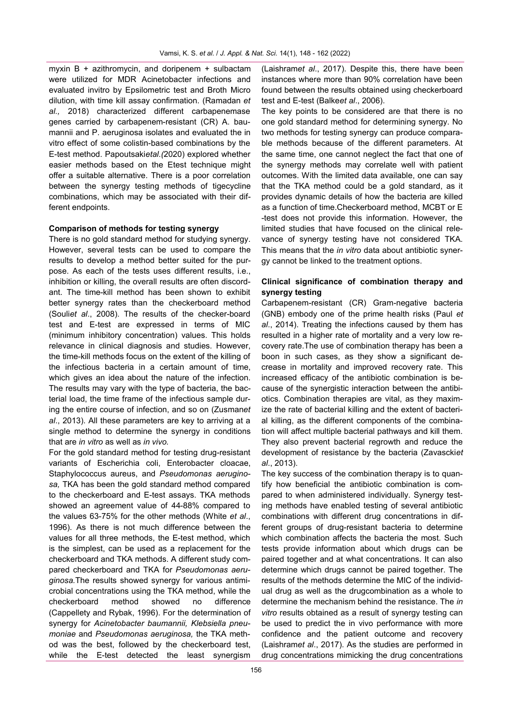myxin B + azithromycin, and doripenem + sulbactam were utilized for MDR Acinetobacter infections and evaluated invitro by Epsilometric test and Broth Micro dilution, with time kill assay confirmation. (Ramadan *et al.,* 2018) characterized different carbapenemase genes carried by carbapenem-resistant (CR) A. baumannii and P. aeruginosa isolates and evaluated the in vitro effect of some colistin-based combinations by the E-test method. Papoutsaki*etal.(*2020) explored whether easier methods based on the Etest technique might offer a suitable alternative. There is a poor correlation between the synergy testing methods of tigecycline combinations, which may be associated with their different endpoints.

## **Comparison of methods for testing synergy**

There is no gold standard method for studying synergy. However, several tests can be used to compare the results to develop a method better suited for the purpose. As each of the tests uses different results, i.e., inhibition or killing, the overall results are often discordant. The time-kill method has been shown to exhibit better synergy rates than the checkerboard method (Souli*et al*., 2008). The results of the checker-board test and E-test are expressed in terms of MIC (minimum inhibitory concentration) values. This holds relevance in clinical diagnosis and studies. However, the time-kill methods focus on the extent of the killing of the infectious bacteria in a certain amount of time, which gives an idea about the nature of the infection. The results may vary with the type of bacteria, the bacterial load, the time frame of the infectious sample during the entire course of infection, and so on (Zusman*et al*., 2013). All these parameters are key to arriving at a single method to determine the synergy in conditions that are *in vitro* as well as *in vivo.*

For the gold standard method for testing drug-resistant variants of Escherichia coli, Enterobacter cloacae, Staphylococcus aureus, and *Pseudomonas aeruginosa,* TKA has been the gold standard method compared to the checkerboard and E-test assays. TKA methods showed an agreement value of 44-88% compared to the values 63-75% for the other methods (White *et al*., 1996). As there is not much difference between the values for all three methods, the E-test method, which is the simplest, can be used as a replacement for the checkerboard and TKA methods. A different study compared checkerboard and TKA for *Pseudomonas aeruginosa.*The results showed synergy for various antimicrobial concentrations using the TKA method, while the checkerboard method showed no difference (Cappellety and Rybak, 1996). For the determination of synergy for *Acinetobacter baumannii, Klebsiella pneumoniae* and *Pseudomonas aeruginosa,* the TKA method was the best, followed by the checkerboard test, while the E-test detected the least synergism (Laishram*et al*., 2017). Despite this, there have been instances where more than 90% correlation have been found between the results obtained using checkerboard test and E-test (Balke*et al*., 2006).

The key points to be considered are that there is no one gold standard method for determining synergy. No two methods for testing synergy can produce comparable methods because of the different parameters. At the same time, one cannot neglect the fact that one of the synergy methods may correlate well with patient outcomes. With the limited data available, one can say that the TKA method could be a gold standard, as it provides dynamic details of how the bacteria are killed as a function of time.Checkerboard method, MCBT or E -test does not provide this information. However, the limited studies that have focused on the clinical relevance of synergy testing have not considered TKA. This means that the *in vitro* data about antibiotic synergy cannot be linked to the treatment options.

# **Clinical significance of combination therapy and synergy testing**

Carbapenem-resistant (CR) Gram-negative bacteria (GNB) embody one of the prime health risks (Paul *et al*., 2014). Treating the infections caused by them has resulted in a higher rate of mortality and a very low recovery rate.The use of combination therapy has been a boon in such cases, as they show a significant decrease in mortality and improved recovery rate. This increased efficacy of the antibiotic combination is because of the synergistic interaction between the antibiotics. Combination therapies are vital, as they maximize the rate of bacterial killing and the extent of bacterial killing, as the different components of the combination will affect multiple bacterial pathways and kill them. They also prevent bacterial regrowth and reduce the development of resistance by the bacteria (Zavascki*et al*., 2013).

The key success of the combination therapy is to quantify how beneficial the antibiotic combination is compared to when administered individually. Synergy testing methods have enabled testing of several antibiotic combinations with different drug concentrations in different groups of drug-resistant bacteria to determine which combination affects the bacteria the most. Such tests provide information about which drugs can be paired together and at what concentrations. It can also determine which drugs cannot be paired together. The results of the methods determine the MIC of the individual drug as well as the drugcombination as a whole to determine the mechanism behind the resistance. The *in vitro* results obtained as a result of synergy testing can be used to predict the in vivo performance with more confidence and the patient outcome and recovery (Laishram*et al*., 2017). As the studies are performed in drug concentrations mimicking the drug concentrations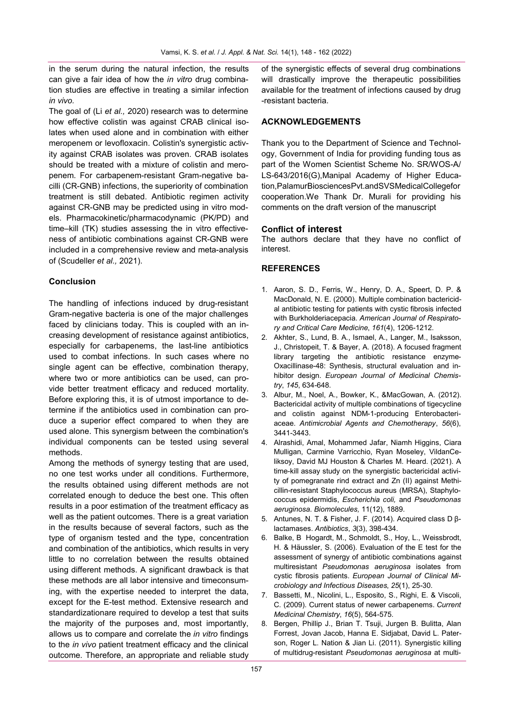in the serum during the natural infection, the results can give a fair idea of how the *in vitro* drug combination studies are effective in treating a similar infection *in vivo.*

The goal of (Li *et al.,* 2020) research was to determine how effective colistin was against CRAB clinical isolates when used alone and in combination with either meropenem or levofloxacin. Colistin's synergistic activity against CRAB isolates was proven. CRAB isolates should be treated with a mixture of colistin and meropenem. For carbapenem-resistant Gram-negative bacilli (CR-GNB) infections, the superiority of combination treatment is still debated. Antibiotic regimen activity against CR-GNB may be predicted using in vitro models. Pharmacokinetic/pharmacodynamic (PK/PD) and time–kill (TK) studies assessing the in vitro effectiveness of antibiotic combinations against CR-GNB were included in a comprehensive review and meta-analysis of (Scudeller *et al.,* 2021).

# **Conclusion**

The handling of infections induced by drug-resistant Gram-negative bacteria is one of the major challenges faced by clinicians today. This is coupled with an increasing development of resistance against antibiotics, especially for carbapenems, the last-line antibiotics used to combat infections. In such cases where no single agent can be effective, combination therapy, where two or more antibiotics can be used, can provide better treatment efficacy and reduced mortality. Before exploring this, it is of utmost importance to determine if the antibiotics used in combination can produce a superior effect compared to when they are used alone. This synergism between the combination's individual components can be tested using several methods.

Among the methods of synergy testing that are used, no one test works under all conditions. Furthermore, the results obtained using different methods are not correlated enough to deduce the best one. This often results in a poor estimation of the treatment efficacy as well as the patient outcomes. There is a great variation in the results because of several factors, such as the type of organism tested and the type, concentration and combination of the antibiotics, which results in very little to no correlation between the results obtained using different methods. A significant drawback is that these methods are all labor intensive and timeconsuming, with the expertise needed to interpret the data, except for the E-test method. Extensive research and standardizationare required to develop a test that suits the majority of the purposes and, most importantly, allows us to compare and correlate the *in vitro* findings to the *in vivo* patient treatment efficacy and the clinical outcome. Therefore, an appropriate and reliable study

of the synergistic effects of several drug combinations will drastically improve the therapeutic possibilities available for the treatment of infections caused by drug -resistant bacteria.

# **ACKNOWLEDGEMENTS**

Thank you to the Department of Science and Technology, Government of India for providing funding tous as part of the Women Scientist Scheme No. SR/WOS-A/ LS-643/2016(G),Manipal Academy of Higher Education,PalamurBiosciencesPvt.andSVSMedicalCollegefor cooperation.We Thank Dr. Murali for providing his comments on the draft version of the manuscript

## **Conflict of interest**

The authors declare that they have no conflict of interest.

# **REFERENCES**

- 1. Aaron, S. D., Ferris, W., Henry, D. A., Speert, D. P. & MacDonald, N. E. (2000). Multiple combination bactericidal antibiotic testing for patients with cystic fibrosis infected with Burkholderiacepacia. *American Journal of Respiratory and Critical Care Medicine*, *161*(4), 1206-1212.
- 2. Akhter, S., Lund, B. A., Ismael, A., Langer, M., Isaksson, J., Christopeit, T. & Bayer, A. (2018). A focused fragment library targeting the antibiotic resistance enzyme-Oxacillinase-48: Synthesis, structural evaluation and inhibitor design. *European Journal of Medicinal Chemistry*, *145*, 634-648.
- 3. Albur, M., Noel, A., Bowker, K., &MacGowan, A. (2012). Bactericidal activity of multiple combinations of tigecycline and colistin against NDM-1-producing Enterobacteriaceae. *Antimicrobial Agents and Chemotherapy*, *56*(6), 3441-3443.
- 4. Alrashidi, Amal, Mohammed Jafar, Niamh Higgins, Ciara Mulligan, Carmine Varricchio, Ryan Moseley, VildanCeliksoy, David MJ Houston & Charles M. Heard. (2021). A time-kill assay study on the synergistic bactericidal activity of pomegranate rind extract and Zn (II) against Methicillin-resistant Staphylococcus aureus (MRSA), Staphylococcus epidermidis, *Escherichia coli,* and *Pseudomonas aeruginosa*. *Biomolecules,* 11(12), 1889.
- 5. Antunes, N. T. & Fisher, J. F. (2014). Acquired class D βlactamases. *Antibiotics*, *3*(3), 398-434.
- 6. Balke, B Hogardt, M., Schmoldt, S., Hoy, L., Weissbrodt, H. & Häussler, S. (2006). Evaluation of the E test for the assessment of synergy of antibiotic combinations against multiresistant *Pseudomonas aeruginosa* isolates from cystic fibrosis patients. *European Journal of Clinical Microbiology and Infectious Diseases*, *25*(1), 25-30.
- 7. Bassetti, M., Nicolini, L., Esposito, S., Righi, E. & Viscoli, C. (2009). Current status of newer carbapenems. *Current Medicinal Chemistry*, *16*(5), 564-575.
- 8. Bergen, Phillip J., Brian T. Tsuji, Jurgen B. Bulitta, Alan Forrest, Jovan Jacob, Hanna E. Sidjabat, David L. Paterson, Roger L. Nation & Jian Li. (2011). Synergistic killing of multidrug-resistant *Pseudomonas aeruginosa* at multi-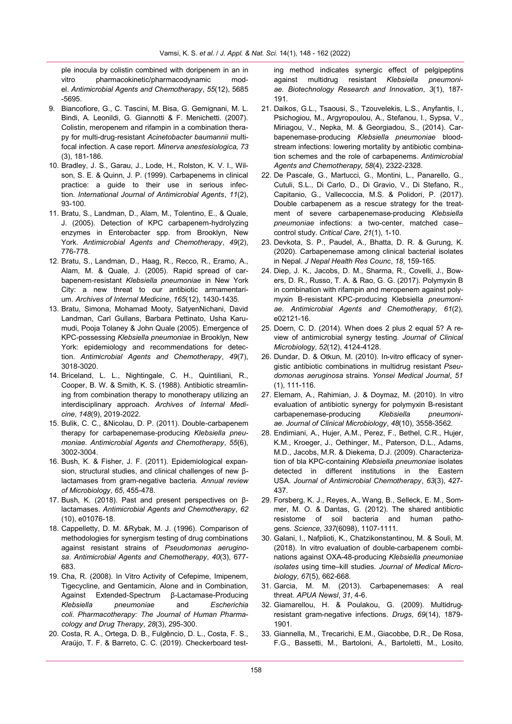ple inocula by colistin combined with doripenem in an in vitro pharmacokinetic/pharmacodynamic model. *Antimicrobial Agents and Chemotherapy*, *55*(12), 5685 -5695.

- 9. Biancofiore, G., C. Tascini, M. Bisa, G. Gemignani, M. L. Bindi, A. Leonildi, G. Giannotti & F. Menichetti. (2007). Colistin, meropenem and rifampin in a combination therapy for multi-drug-resistant *Acinetobacter baumannii* multifocal infection. A case report. *Minerva anestesiologica*, *73* (3), 181-186.
- 10. Bradley, J. S., Garau, J., Lode, H., Rolston, K. V. I., Wilson, S. E. & Quinn, J. P. (1999). Carbapenems in clinical practice: a guide to their use in serious infection. *International Journal of Antimicrobial Agents*, *11*(2), 93-100.
- 11. Bratu, S., Landman, D., Alam, M., Tolentino, E., & Quale, J. (2005). Detection of KPC carbapenem-hydrolyzing enzymes in Enterobacter spp. from Brooklyn, New York. *Antimicrobial Agents and Chemotherapy*, *49*(2), 776-778.
- 12. Bratu, S., Landman, D., Haag, R., Recco, R., Eramo, A., Alam, M. & Quale, J. (2005). Rapid spread of carbapenem-resistant *Klebsiella pneumoniae* in New York City: a new threat to our antibiotic armamentarium. *Archives of Internal Medicine*, *165*(12), 1430-1435.
- 13. Bratu, Simona, Mohamad Mooty, SatyenNichani, David Landman, Carl Gullans, Barbara Pettinato, Usha Karumudi, Pooja Tolaney & John Quale (2005). Emergence of KPC-possessing *Klebsiella pneumoniae* in Brooklyn, New York: epidemiology and recommendations for detection. *Antimicrobial Agents and Chemotherapy*, *49*(7), 3018-3020.
- 14. Briceland, L. L., Nightingale, C. H., Quintiliani, R., Cooper, B. W. & Smith, K. S. (1988). Antibiotic streamlining from combination therapy to monotherapy utilizing an interdisciplinary approach. *Archives of Internal Medicine*, *148*(9), 2019-2022.
- 15. Bulik, C. C., &Nicolau, D. P. (2011). Double-carbapenem therapy for carbapenemase-producing *Klebsiella pneumoniae. Antimicrobial Agents and Chemotherapy*, *55*(6), 3002-3004.
- 16. Bush, K. & Fisher, J. F. (2011). Epidemiological expansion, structural studies, and clinical challenges of new βlactamases from gram-negative bacteria. *Annual review of Microbiology*, *65*, 455-478.
- 17. Bush, K. (2018). Past and present perspectives on βlactamases. *Antimicrobial Agents and Chemotherapy*, *62* (10), e01076-18.
- 18. Cappelletty, D. M. &Rybak, M. J. (1996). Comparison of methodologies for synergism testing of drug combinations against resistant strains of *Pseudomonas aeruginosa*. *Antimicrobial Agents and Chemotherapy*, *40*(3), 677- 683.
- 19. Cha, R. (2008). In Vitro Activity of Cefepime, Imipenem, Tigecycline, and Gentamicin, Alone and in Combination, Against Extended-Spectrum β-Lactamase-Producing *Klebsiella pneumoniae* and *Escherichia coli. Pharmacotherapy: The Journal of Human Pharmacology and Drug Therapy*, *28*(3), 295-300.
- 20. Costa, R. A., Ortega, D. B., Fulgêncio, D. L., Costa, F. S., Araújo, T. F. & Barreto, C. C. (2019). Checkerboard test-

ing method indicates synergic effect of pelgipeptins against multidrug resistant *Klebsiella pneumoniae. Biotechnology Research and Innovation*, *3*(1), 187- 191.

- 21. Daikos, G.L., Tsaousi, S., Tzouvelekis, L.S., Anyfantis, I., Psichogiou, M., Argyropoulou, A., Stefanou, I., Sypsa, V., Miriagou, V., Nepka, M. & Georgiadou, S., (2014). Carbapenemase-producing *Klebsiella pneumoniae* bloodstream infections: lowering mortality by antibiotic combination schemes and the role of carbapenems. *Antimicrobial Agents and Chemotherapy*, *58*(4), 2322-2328.
- 22. De Pascale, G., Martucci, G., Montini, L., Panarello, G., Cutuli, S.L., Di Carlo, D., Di Gravio, V., Di Stefano, R., Capitanio, G., Vallecoccia, M.S. & Polidori, P. (2017). Double carbapenem as a rescue strategy for the treatment of severe carbapenemase-producing *Klebsiella pneumoniae* infections: a two-center, matched case– control study. *Critical Care*, *21*(1), 1-10.
- 23. Devkota, S. P., Paudel, A., Bhatta, D. R. & Gurung, K. (2020). Carbapenemase among clinical bacterial isolates in Nepal. *J Nepal Health Res Counc*, *18*, 159-165.
- 24. Diep, J. K., Jacobs, D. M., Sharma, R., Covelli, J., Bowers, D. R., Russo, T. A. & Rao, G. G. (2017). Polymyxin B in combination with rifampin and meropenem against polymyxin B-resistant KPC-producing Klebsiella *pneumoniae. Antimicrobial Agents and Chemotherapy*, *61*(2), e02121-16.
- 25. Doern, C. D. (2014). When does 2 plus 2 equal 5? A review of antimicrobial synergy testing. *Journal of Clinical Microbiology*, *52*(12), 4124-4128.
- 26. Dundar, D. & Otkun, M. (2010). In-vitro efficacy of synergistic antibiotic combinations in multidrug resistant *Pseudomonas aeruginosa* strains. *Yonsei Medical Journal*, *51* (1), 111-116.
- 27. Elemam, A., Rahimian, J. & Doymaz, M. (2010). In vitro evaluation of antibiotic synergy for polymyxin B-resistant carbapenemase-producing *Klebsiella pneumoniae. Journal of Clinical Microbiology*, *48*(10), 3558-3562.
- 28. Endimiani, A., Hujer, A.M., Perez, F., Bethel, C.R., Hujer, K.M., Kroeger, J., Oethinger, M., Paterson, D.L., Adams, M.D., Jacobs, M.R. & Diekema, D.J. (2009). Characterization of bla KPC-containing *Klebsiella pneumoniae* isolates detected in different institutions in the Eastern USA. *Journal of Antimicrobial Chemotherapy*, *63*(3), 427- 437.
- 29. Forsberg, K. J., Reyes, A., Wang, B., Selleck, E. M., Sommer, M. O. & Dantas, G. (2012). The shared antibiotic resistome of soil bacteria and human pathogens. *Science*, *337*(6098), 1107-1111.
- 30. Galani, I., Nafplioti, K., Chatzikonstantinou, M. & Souli, M. (2018). In vitro evaluation of double-carbapenem combinations against OXA-48-producing *Klebsiella pneumoniae isolates* using time–kill studies. *Journal of Medical Microbiology*, *67*(5), 662-668.
- 31. Garcia, M. M. (2013). Carbapenemases: A real threat. *APUA Newsl*, *31*, 4-6.
- 32. Giamarellou, H. & Poulakou, G. (2009). Multidrugresistant gram-negative infections. *Drugs*, *69*(14), 1879- 1901.
- 33. Giannella, M., Trecarichi, E.M., Giacobbe, D.R., De Rosa, F.G., Bassetti, M., Bartoloni, A., Bartoletti, M., Losito,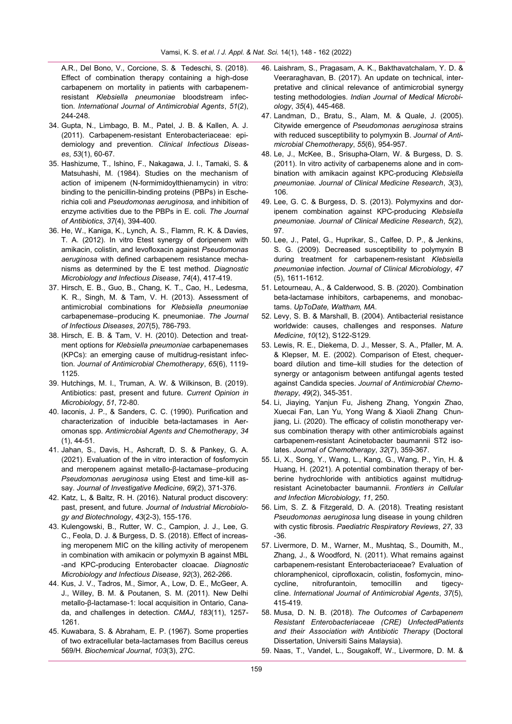A.R., Del Bono, V., Corcione, S. & Tedeschi, S. (2018). Effect of combination therapy containing a high-dose carbapenem on mortality in patients with carbapenemresistant *Klebsiella pneumoniae* bloodstream infection. *International Journal of Antimicrobial Agents*, *51*(2), 244-248.

- 34. Gupta, N., Limbago, B. M., Patel, J. B. & Kallen, A. J. (2011). Carbapenem-resistant Enterobacteriaceae: epidemiology and prevention. *Clinical Infectious Diseases*, *53*(1), 60-67.
- 35. Hashizume, T., Ishino, F., Nakagawa, J. I., Tamaki, S. & Matsuhashi, M. (1984). Studies on the mechanism of action of imipenem (N-formimidoylthienamycin) in vitro: binding to the penicillin-binding proteins (PBPs) in Escherichia coli and *Pseudomonas aeruginosa,* and inhibition of enzyme activities due to the PBPs in E. coli. *The Journal of Antibiotics*, *37*(4), 394-400.
- 36. He, W., Kaniga, K., Lynch, A. S., Flamm, R. K. & Davies, T. A. (2012). In vitro Etest synergy of doripenem with amikacin, colistin, and levofloxacin against *Pseudomonas aeruginosa* with defined carbapenem resistance mechanisms as determined by the E test method. *Diagnostic Microbiology and Infectious Disease*, *74*(4), 417-419.
- 37. Hirsch, E. B., Guo, B., Chang, K. T., Cao, H., Ledesma, K. R., Singh, M. & Tam, V. H. (2013). Assessment of antimicrobial combinations for *Klebsiella pneumoniae*  carbapenemase–producing K. pneumoniae. *The Journal of Infectious Diseases*, *207*(5), 786-793.
- 38. Hirsch, E. B. & Tam, V. H. (2010). Detection and treatment options for *Klebsiella pneumoniae* carbapenemases (KPCs): an emerging cause of multidrug-resistant infection. *Journal of Antimicrobial Chemotherapy*, *65*(6), 1119- 1125.
- 39. Hutchings, M. I., Truman, A. W. & Wilkinson, B. (2019). Antibiotics: past, present and future. *Current Opinion in Microbiology*, *51*, 72-80.
- 40. Iaconis, J. P., & Sanders, C. C. (1990). Purification and characterization of inducible beta-lactamases in Aeromonas spp. *Antimicrobial Agents and Chemotherapy*, *34* (1), 44-51.
- 41. Jahan, S., Davis, H., Ashcraft, D. S. & Pankey, G. A. (2021). Evaluation of the in vitro interaction of fosfomycin and meropenem against metallo-β-lactamase–producing *Pseudomonas aeruginosa* using Etest and time-kill assay. *Journal of Investigative Medicine*, *69*(2), 371-376.
- 42. Katz, L, & Baltz, R. H. (2016). Natural product discovery: past, present, and future. *Journal of Industrial Microbiology and Biotechnology*, *43*(2-3), 155-176.
- 43. Kulengowski, B., Rutter, W. C., Campion, J. J., Lee, G. C., Feola, D. J. & Burgess, D. S. (2018). Effect of increasing meropenem MIC on the killing activity of meropenem in combination with amikacin or polymyxin B against MBL -and KPC-producing Enterobacter cloacae. *Diagnostic Microbiology and Infectious Disease*, *92*(3), 262-266.
- 44. Kus, J. V., Tadros, M., Simor, A., Low, D. E., McGeer, A. J., Willey, B. M. & Poutanen, S. M. (2011). New Delhi metallo-β-lactamase-1: local acquisition in Ontario, Canada, and challenges in detection. *CMAJ*, *183*(11), 1257- 1261.
- 45. Kuwabara, S. & Abraham, E. P. (1967). Some properties of two extracellular beta-lactamases from Bacillus cereus 569/H. *Biochemical Journal*, *103*(3), 27C.
- 46. Laishram, S., Pragasam, A. K., Bakthavatchalam, Y. D. & Veeraraghavan, B. (2017). An update on technical, interpretative and clinical relevance of antimicrobial synergy testing methodologies. *Indian Journal of Medical Microbiology*, *35*(4), 445-468.
- 47. Landman, D., Bratu, S., Alam, M. & Quale, J. (2005). Citywide emergence of *Pseudomonas aeruginosa* strains with reduced susceptibility to polymyxin B. *Journal of Antimicrobial Chemotherapy*, *55*(6), 954-957.
- 48. Le, J., McKee, B., Srisupha-Olarn, W. & Burgess, D. S. (2011). In vitro activity of carbapenems alone and in combination with amikacin against KPC-producing *Klebsiella pneumoniae. Journal of Clinical Medicine Research*, *3*(3), 106.
- 49. Lee, G. C. & Burgess, D. S. (2013). Polymyxins and doripenem combination against KPC-producing *Klebsiella pneumoniae. Journal of Clinical Medicine Research*, *5*(2), 97.
- 50. Lee, J., Patel, G., Huprikar, S., Calfee, D. P., & Jenkins, S. G. (2009). Decreased susceptibility to polymyxin B during treatment for carbapenem-resistant *Klebsiella pneumoniae* infection. *Journal of Clinical Microbiology*, *47* (5), 1611-1612.
- 51. Letourneau, A., & Calderwood, S. B. (2020). Combination beta-lactamase inhibitors, carbapenems, and monobactams. *UpToDate, Waltham, MA*.
- 52. Levy, S. B. & Marshall, B. (2004). Antibacterial resistance worldwide: causes, challenges and responses. *Nature Medicine*, *10*(12), S122-S129.
- 53. Lewis, R. E., Diekema, D. J., Messer, S. A., Pfaller, M. A. & Klepser, M. E. (2002). Comparison of Etest, chequerboard dilution and time–kill studies for the detection of synergy or antagonism between antifungal agents tested against Candida species. *Journal of Antimicrobial Chemotherapy*, *49*(2), 345-351.
- 54. Li, Jiaying, Yanjun Fu, Jisheng Zhang, Yongxin Zhao, Xuecai Fan, Lan Yu, Yong Wang & Xiaoli Zhang Chunjiang, Li. (2020). The efficacy of colistin monotherapy versus combination therapy with other antimicrobials against carbapenem-resistant Acinetobacter baumannii ST2 isolates. *Journal of Chemotherapy*, *32*(7), 359-367.
- 55. Li, X., Song, Y., Wang, L., Kang, G., Wang, P., Yin, H. & Huang, H. (2021). A potential combination therapy of berberine hydrochloride with antibiotics against multidrugresistant Acinetobacter baumannii. *Frontiers in Cellular and Infection Microbiology*, *11*, 250.
- 56. Lim, S. Z. & Fitzgerald, D. A. (2018). Treating resistant *Pseudomonas aeruginosa* lung disease in young children with cystic fibrosis. *Paediatric Respiratory Reviews*, *27*, 33 -36.
- 57. Livermore, D. M., Warner, M., Mushtaq, S., Doumith, M., Zhang, J., & Woodford, N. (2011). What remains against carbapenem-resistant Enterobacteriaceae? Evaluation of chloramphenicol, ciprofloxacin, colistin, fosfomycin, minocycline, nitrofurantoin, temocillin and tigecycline. *International Journal of Antimicrobial Agents*, *37*(5), 415-419.
- 58. Musa, D. N. B. (2018). *The Outcomes of Carbapenem Resistant Enterobacteriaceae (CRE) UnfectedPatients and their Association with Antibiotic Therapy* (Doctoral Dissertation, Universiti Sains Malaysia).
- 59. Naas, T., Vandel, L., Sougakoff, W., Livermore, D. M. &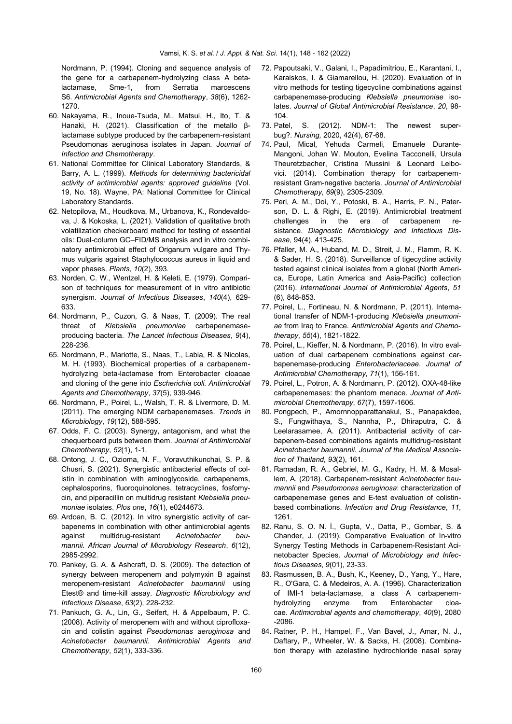Nordmann, P. (1994). Cloning and sequence analysis of the gene for a carbapenem-hydrolyzing class A betalactamase, Sme-1, from Serratia marcescens S6. *Antimicrobial Agents and Chemotherapy*, *38*(6), 1262- 1270.

- 60. Nakayama, R., Inoue-Tsuda, M., Matsui, H., Ito, T. & Hanaki, H. (2021). Classification of the metallo βlactamase subtype produced by the carbapenem-resistant Pseudomonas aeruginosa isolates in Japan. *Journal of Infection and Chemotherapy*.
- 61. National Committee for Clinical Laboratory Standards, & Barry, A. L. (1999). *Methods for determining bactericidal activity of antimicrobial agents: approved guideline* (Vol. 19, No. 18). Wayne, PA: National Committee for Clinical Laboratory Standards.
- 62. Netopilova, M., Houdkova, M., Urbanova, K., Rondevaldova, J. & Kokoska, L. (2021). Validation of qualitative broth volatilization checkerboard method for testing of essential oils: Dual-column GC–FID/MS analysis and in vitro combinatory antimicrobial effect of Origanum vulgare and Thymus vulgaris against Staphylococcus aureus in liquid and vapor phases. *Plants*, *10*(2), 393.
- 63. Norden, C. W., Wentzel, H. & Keleti, E. (1979). Comparison of techniques for measurement of in vitro antibiotic synergism. *Journal of Infectious Diseases*, *140*(4), 629- 633.
- 64. Nordmann, P., Cuzon, G. & Naas, T. (2009). The real threat of *Klebsiella pneumoniae* carbapenemaseproducing bacteria. *The Lancet Infectious Diseases*, *9*(4), 228-236.
- 65. Nordmann, P., Mariotte, S., Naas, T., Labia, R. & Nicolas, M. H. (1993). Biochemical properties of a carbapenemhydrolyzing beta-lactamase from Enterobacter cloacae and cloning of the gene into *Escherichia coli. Antimicrobial Agents and Chemotherapy*, *37*(5), 939-946.
- 66. Nordmann, P., Poirel, L., Walsh, T. R. & Livermore, D. M. (2011). The emerging NDM carbapenemases. *Trends in Microbiology*, *19*(12), 588-595.
- 67. Odds, F. C. (2003). Synergy, antagonism, and what the chequerboard puts between them. *Journal of Antimicrobial Chemotherapy*, *52*(1), 1-1.
- 68. Ontong, J. C., Ozioma, N. F., Voravuthikunchai, S. P. & Chusri, S. (2021). Synergistic antibacterial effects of colistin in combination with aminoglycoside, carbapenems, cephalosporins, fluoroquinolones, tetracyclines, fosfomycin, and piperacillin on multidrug resistant *Klebsiella pneumoniae* isolates. *Plos one*, *16*(1), e0244673.
- 69. Ardoan, B. C. (2012). In vitro synergistic activity of carbapenems in combination with other antimicrobial agents against multidrug-resistant *Acinetobacter baumannii. African Journal of Microbiology Research*, *6*(12), 2985-2992.
- 70. Pankey, G. A. & Ashcraft, D. S. (2009). The detection of synergy between meropenem and polymyxin B against meropenem-resistant *Acinetobacter baumannii* using Etest® and time-kill assay. *Diagnostic Microbiology and Infectious Disease*, *63*(2), 228-232.
- 71. Pankuch, G. A., Lin, G., Seifert, H. & Appelbaum, P. C. (2008). Activity of meropenem with and without ciprofloxacin and colistin against *Pseudomonas aeruginosa* and *Acinetobacter baumannii. Antimicrobial Agents and Chemotherapy*, *52*(1), 333-336.
- 72. Papoutsaki, V., Galani, I., Papadimitriou, E., Karantani, I., Karaiskos, I. & Giamarellou, H. (2020). Evaluation of in vitro methods for testing tigecycline combinations against carbapenemase-producing *Klebsiella pneumoniae* isolates. *Journal of Global Antimicrobial Resistance*, *20*, 98- 104.
- 73. Patel, S. (2012). NDM-1: The newest superbug?. *Nursing,* 2020, 42(4), 67-68.
- 74. Paul, Mical, Yehuda Carmeli, Emanuele Durante-Mangoni, Johan W. Mouton, Evelina Tacconelli, Ursula Theuretzbacher, Cristina Mussini & Leonard Leibovici. (2014). Combination therapy for carbapenemresistant Gram-negative bacteria. *Journal of Antimicrobial Chemotherapy*, *69*(9), 2305-2309.
- 75. Peri, A. M., Doi, Y., Potoski, B. A., Harris, P. N., Paterson, D. L. & Righi, E. (2019). Antimicrobial treatment challenges in the era of carbapenem resistance. *Diagnostic Microbiology and Infectious Disease*, 94(4), 413-425.
- 76. Pfaller, M. A., Huband, M. D., Streit, J. M., Flamm, R. K. & Sader, H. S. (2018). Surveillance of tigecycline activity tested against clinical isolates from a global (North America, Europe, Latin America and Asia-Pacific) collection (2016). *International Journal of Antimicrobial Agents*, *51* (6), 848-853.
- 77. Poirel, L., Fortineau, N. & Nordmann, P. (2011). International transfer of NDM-1-producing *Klebsiella pneumoniae* from Iraq to France. *Antimicrobial Agents and Chemotherapy*, *55*(4), 1821-1822.
- 78. Poirel, L., Kieffer, N. & Nordmann, P. (2016). In vitro evaluation of dual carbapenem combinations against carbapenemase-producing *Enterobacteriaceae*. *Journal of Antimicrobial Chemotherapy*, *71*(1), 156-161.
- 79. Poirel, L., Potron, A. & Nordmann, P. (2012). OXA-48-like carbapenemases: the phantom menace. *Journal of Antimicrobial Chemotherapy*, *67*(7), 1597-1606.
- 80. Pongpech, P., Amornnopparattanakul, S., Panapakdee, S., Fungwithaya, S., Nannha, P., Dhiraputra, C. & Leelarasamee, A. (2011). Antibacterial activity of carbapenem-based combinations againts multidrug-resistant *Acinetobacter baumannii. Journal of the Medical Association of Thailand*, *93*(2), 161.
- 81. Ramadan, R. A., Gebriel, M. G., Kadry, H. M. & Mosallem, A. (2018). Carbapenem-resistant *Acinetobacter baumannii* and *Pseudomonas aeruginosa*: characterization of carbapenemase genes and E-test evaluation of colistinbased combinations. *Infection and Drug Resistance*, *11*, 1261.
- 82. Ranu, S. O. N. İ., Gupta, V., Datta, P., Gombar, S. & Chander, J. (2019). Comparative Evaluation of In-vitro Synergy Testing Methods in Carbapenem-Resistant Acinetobacter Species. *Journal of Microbiology and Infectious Diseases*, *9*(01), 23-33.
- 83. Rasmussen, B. A., Bush, K., Keeney, D., Yang, Y., Hare, R., O'Gara, C. & Medeiros, A. A. (1996). Characterization of IMI-1 beta-lactamase, a class A carbapenemhydrolyzing enzyme from Enterobacter cloacae. *Antimicrobial agents and chemotherapy*, *40*(9), 2080 -2086.
- 84. Ratner, P. H., Hampel, F., Van Bavel, J., Amar, N. J., Daftary, P., Wheeler, W. & Sacks, H. (2008). Combination therapy with azelastine hydrochloride nasal spray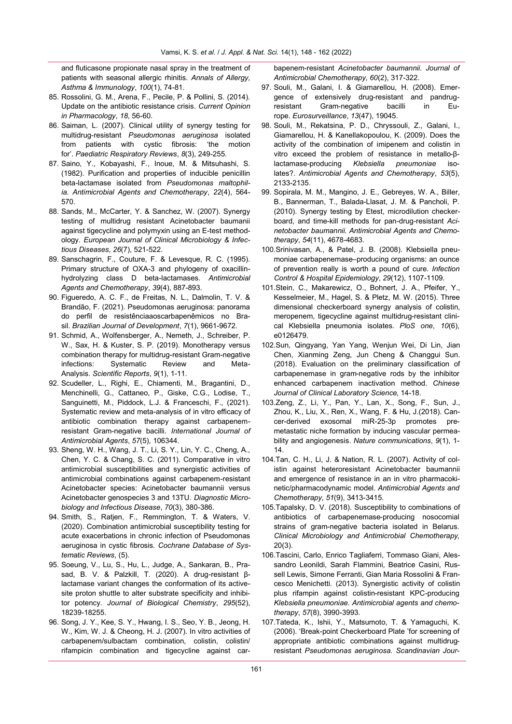and fluticasone propionate nasal spray in the treatment of patients with seasonal allergic rhinitis. *Annals of Allergy, Asthma & Immunology*, *100*(1), 74-81.

- 85. Rossolini, G. M., Arena, F., Pecile, P. & Pollini, S. (2014). Update on the antibiotic resistance crisis. *Current Opinion in Pharmacology*, *18*, 56-60.
- 86. Saiman, L. (2007). Clinical utility of synergy testing for multidrug-resistant *Pseudomonas aeruginosa* isolated from patients with cystic fibrosis: 'the motion for'. *Paediatric Respiratory Reviews*, *8*(3), 249-255.
- 87. Saino, Y., Kobayashi, F., Inoue, M. & Mitsuhashi, S. (1982). Purification and properties of inducible penicillin beta-lactamase isolated from *Pseudomonas maltophilia. Antimicrobial Agents and Chemotherapy*, *22*(4), 564- 570.
- 88. Sands, M., McCarter, Y. & Sanchez, W. (2007). Synergy testing of multidrug resistant Acinetobacter baumanii against tigecycline and polymyxin using an E-test methodology. *European Journal of Clinical Microbiology & Infectious Diseases*, *26*(7), 521-522.
- 89. Sanschagrin, F., Couture, F. & Levesque, R. C. (1995). Primary structure of OXA-3 and phylogeny of oxacillinhydrolyzing class D beta-lactamases. *Antimicrobial Agents and Chemotherapy*, *39*(4), 887-893.
- 90. Figueredo, A. C. F., de Freitas, N. L., Dalmolin, T. V. & Brandão, F. (2021). Pseudomonas aeruginosa: panorama do perfil de resistênciaaoscarbapenêmicos no Brasil. *Brazilian Journal of Development*, *7*(1), 9661-9672.
- 91. Schmid, A., Wolfensberger, A., Nemeth, J., Schreiber, P. W., Sax, H. & Kuster, S. P. (2019). Monotherapy versus combination therapy for multidrug-resistant Gram-negative infections: Systematic Review and Meta-Analysis. *Scientific Reports*, *9*(1), 1-11.
- 92. Scudeller, L., Righi, E., Chiamenti, M., Bragantini, D., Menchinelli, G., Cattaneo, P., Giske, C.G., Lodise, T., Sanguinetti, M., Piddock, L.J. & Franceschi, F., (2021). Systematic review and meta-analysis of in vitro efficacy of antibiotic combination therapy against carbapenemresistant Gram-negative bacilli. *International Journal of Antimicrobial Agents*, *57*(5), 106344.
- 93. Sheng, W. H., Wang, J. T., Li, S. Y., Lin, Y. C., Cheng, A., Chen, Y. C. & Chang, S. C. (2011). Comparative in vitro antimicrobial susceptibilities and synergistic activities of antimicrobial combinations against carbapenem-resistant Acinetobacter species: Acinetobacter baumannii versus Acinetobacter genospecies 3 and 13TU. *Diagnostic Microbiology and Infectious Disease*, *70*(3), 380-386.
- 94. Smith, S., Ratjen, F., Remmington, T. & Waters, V. (2020). Combination antimicrobial susceptibility testing for acute exacerbations in chronic infection of Pseudomonas aeruginosa in cystic fibrosis. *Cochrane Database of Systematic Reviews*, (5).
- 95. Soeung, V., Lu, S., Hu, L., Judge, A., Sankaran, B., Prasad, B. V. & Palzkill, T. (2020). A drug-resistant βlactamase variant changes the conformation of its activesite proton shuttle to alter substrate specificity and inhibitor potency. *Journal of Biological Chemistry*, *295*(52), 18239-18255.
- 96. Song, J. Y., Kee, S. Y., Hwang, I. S., Seo, Y. B., Jeong, H. W., Kim, W. J. & Cheong, H. J. (2007). In vitro activities of carbapenem/sulbactam combination, colistin, colistin/ rifampicin combination and tigecycline against car-

bapenem-resistant *Acinetobacter baumannii. Journal of Antimicrobial Chemotherapy*, *60*(2), 317-322.

- 97. Souli, M., Galani, I. & Giamarellou, H. (2008). Emergence of extensively drug-resistant and pandrugresistant Gram-negative bacilli in Europe. *Eurosurveillance*, *13*(47), 19045.
- 98. Souli, M., Rekatsina, P. D., Chryssouli, Z., Galani, I., Giamarellou, H. & Kanellakopoulou, K. (2009). Does the activity of the combination of imipenem and colistin in vitro exceed the problem of resistance in metallo-βlactamase-producing *Klebsiella pneumoniae* isolates?. *Antimicrobial Agents and Chemotherapy*, *53*(5), 2133-2135.
- 99. Sopirala, M. M., Mangino, J. E., Gebreyes, W. A., Biller, B., Bannerman, T., Balada-Llasat, J. M. & Pancholi, P. (2010). Synergy testing by Etest, microdilution checkerboard, and time-kill methods for pan-drug-resistant *Acinetobacter baumannii*. *Antimicrobial Agents and Chemotherapy*, *54*(11), 4678-4683.
- 100.Srinivasan, A., & Patel, J. B. (2008). Klebsiella pneumoniae carbapenemase–producing organisms: an ounce of prevention really is worth a pound of cure. *Infection Control & Hospital Epidemiology*, *29*(12), 1107-1109.
- 101.Stein, C., Makarewicz, O., Bohnert, J. A., Pfeifer, Y., Kesselmeier, M., Hagel, S. & Pletz, M. W. (2015). Three dimensional checkerboard synergy analysis of colistin, meropenem, tigecycline against multidrug-resistant clinical Klebsiella pneumonia isolates. *PloS one*, *10*(6), e0126479.
- 102.Sun, Qingyang, Yan Yang, Wenjun Wei, Di Lin, Jian Chen, Xianming Zeng, Jun Cheng & Changgui Sun. (2018). Evaluation on the preliminary classification of carbapenemase in gram-negative rods by the inhibitor enhanced carbapenem inactivation method. *Chinese Journal of Clinical Laboratory Science*, 14-18.
- 103.Zeng, Z., Li, Y., Pan, Y., Lan, X., Song, F., Sun, J., Zhou, K., Liu, X., Ren, X., Wang, F. & Hu, J.(2018). Cancer-derived exosomal miR-25-3p promotes premetastatic niche formation by inducing vascular permeability and angiogenesis. *Nature communications*, *9*(1), 1- 14.
- 104.Tan, C. H., Li, J. & Nation, R. L. (2007). Activity of colistin against heteroresistant Acinetobacter baumannii and emergence of resistance in an in vitro pharmacokinetic/pharmacodynamic model. *Antimicrobial Agents and Chemotherapy*, *51*(9), 3413-3415.
- 105.Tapalsky, D. V. (2018). Susceptibility to combinations of antibiotics of carbapenemase-producing nosocomial strains of gram-negative bacteria isolated in Belarus. *Clinical Microbiology and Antimicrobial Chemotherapy*, 20(3).
- 106.Tascini, Carlo, Enrico Tagliaferri, Tommaso Giani, Alessandro Leonildi, Sarah Flammini, Beatrice Casini, Russell Lewis, Simone Ferranti, Gian Maria Rossolini & Francesco Menichetti. (2013). Synergistic activity of colistin plus rifampin against colistin-resistant KPC-producing *Klebsiella pneumoniae*. *Antimicrobial agents and chemotherapy*, *57*(8), 3990-3993.
- 107.Tateda, K., Ishii, Y., Matsumoto, T. & Yamaguchi, K. (2006). 'Break-point Checkerboard Plate 'for screening of appropriate antibiotic combinations against multidrugresistant *Pseudomonas aeruginosa. Scandinavian Jour-*